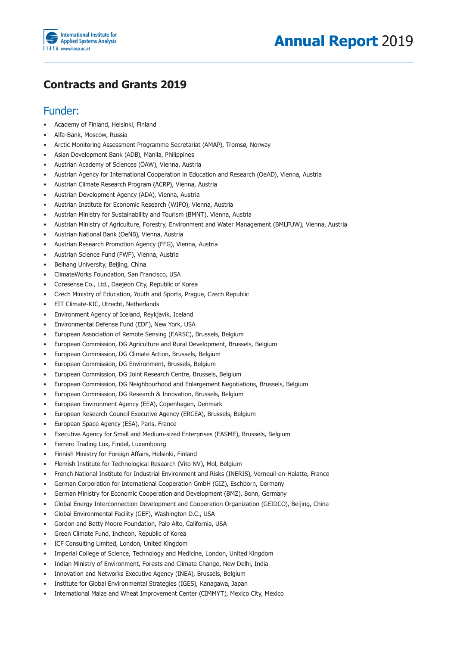

## **Contracts and Grants 2019**

## Funder:

- Academy of Finland, Helsinki, Finland
- Alfa-Bank, Moscow, Russia
- Arctic Monitoring Assessment Programme Secretariat (AMAP), Tromsø, Norway
- Asian Development Bank (ADB), Manila, Philippines
- Austrian Academy of Sciences (ÖAW), Vienna, Austria
- Austrian Agency for International Cooperation in Education and Research (OeAD), Vienna, Austria
- Austrian Climate Research Program (ACRP), Vienna, Austria
- Austrian Development Agency (ADA), Vienna, Austria
- Austrian Institute for Economic Research (WIFO), Vienna, Austria
- Austrian Ministry for Sustainability and Tourism (BMNT), Vienna, Austria
- Austrian Ministry of Agriculture, Forestry, Environment and Water Management (BMLFUW), Vienna, Austria
- Austrian National Bank (OeNB), Vienna, Austria
- Austrian Research Promotion Agency (FFG), Vienna, Austria
- Austrian Science Fund (FWF), Vienna, Austria
- Beihang University, Beijing, China
- ClimateWorks Foundation, San Francisco, USA
- Coresense Co., Ltd., Daejeon City, Republic of Korea
- Czech Ministry of Education, Youth and Sports, Prague, Czech Republic
- EIT Climate-KIC, Utrecht, Netherlands
- Environment Agency of Iceland, Reykjavik, Iceland
- Environmental Defense Fund (EDF), New York, USA
- European Association of Remote Sensing (EARSC), Brussels, Belgium
- European Commission, DG Agriculture and Rural Development, Brussels, Belgium
- European Commission, DG Climate Action, Brussels, Belgium
- European Commission, DG Environment, Brussels, Belgium
- European Commission, DG Joint Research Centre, Brussels, Belgium
- European Commission, DG Neighbourhood and Enlargement Negotiations, Brussels, Belgium
- European Commission, DG Research & Innovation, Brussels, Belgium
- European Environment Agency (EEA), Copenhagen, Denmark
- European Research Council Executive Agency (ERCEA), Brussels, Belgium
- European Space Agency (ESA), Paris, France
- Executive Agency for Small and Medium-sized Enterprises (EASME), Brussels, Belgium
- Ferrero Trading Lux, Findel, Luxembourg
- Finnish Ministry for Foreign Affairs, Helsinki, Finland
- Flemish Institute for Technological Research (Vito NV), Mol, Belgium
- French National Institute for Industrial Environment and Risks (INERIS), Verneuil-en-Halatte, France
- German Corporation for International Cooperation GmbH (GIZ), Eschborn, Germany
- German Ministry for Economic Cooperation and Development (BMZ), Bonn, Germany
- Global Energy Interconnection Development and Cooperation Organization (GEIDCO), Beijing, China
- Global Environmental Facility (GEF), Washington D.C., USA
- Gordon and Betty Moore Foundation, Palo Alto, California, USA
- Green Climate Fund, Incheon, Republic of Korea
- ICF Consulting Limited, London, United Kingdom
- Imperial College of Science, Technology and Medicine, London, United Kingdom
- Indian Ministry of Environment, Forests and Climate Change, New Delhi, India
- Innovation and Networks Executive Agency (INEA), Brussels, Belgium
- Institute for Global Environmental Strategies (IGES), Kanagawa, Japan
- International Maize and Wheat Improvement Center (CIMMYT), Mexico City, Mexico